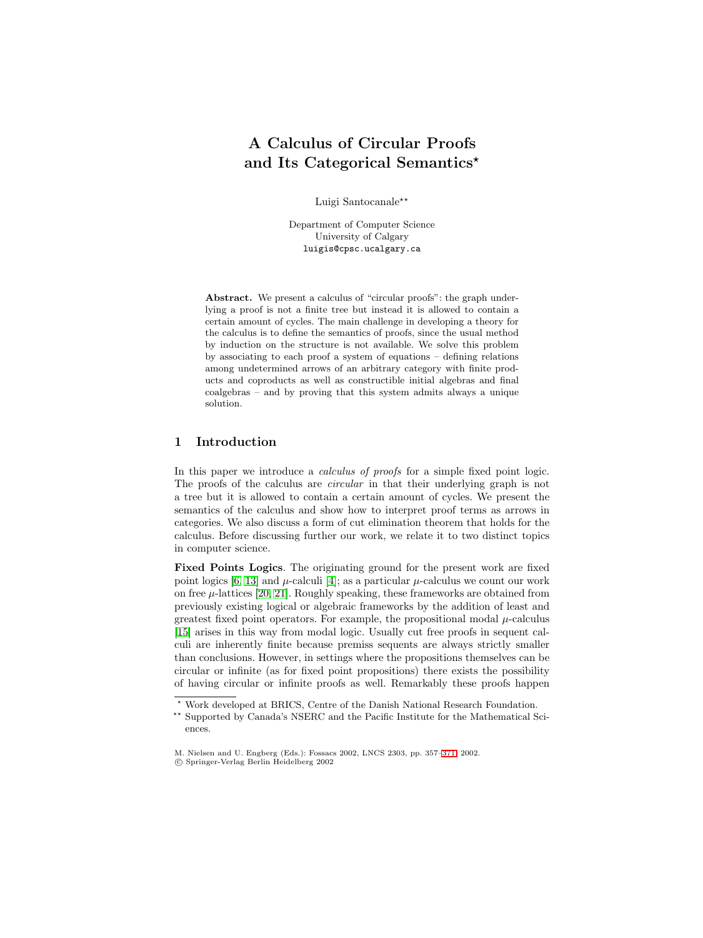# **A Calculus of Circular Proofs and Its Categorical Semantics**

Luigi Santocanale

Department of Computer Science University of Calgary luigis@cpsc.ucalgary.ca

Abstract. We present a calculus of "circular proofs": the graph underlying a proof is not a finite tree but instead it is allowed to contain a certain amount of cycles.The main challenge in developing a theory for the calculus is to define the semantics of proofs, since the usual method by induction on the structure is not available.We solve this problem by associating to each proof a system of equations – defining relations among undetermined arrows of an arbitrary category with finite products and coproducts as well as constructible initial algebras and final coalgebras – and by proving that this system admits always a unique solution.

# **1 Introduction**

In this paper we introduce a *calculus of proofs* for a simple fixed point logic. The proofs of the calculus are circular in that their underlying graph is not a tree but it is allowed to contain a certain amount of cycles. We present the semantics of the calculus and show how to interpret proof terms as arrows in categories. We also discuss a form of cut elimination theorem that holds for the calculus. Before discussing further our work, we relate it to two distinct topics in computer science.

**Fixed Points Logics**. The originating ground for the present work are fixed point logics [\[6,](#page-13-0) [13\]](#page-14-0) and  $\mu$ -calculi [\[4\]](#page-13-0); as a particular  $\mu$ -calculus we count our work on free  $\mu$ -lattices [\[20, 21\]](#page-14-0). Roughly speaking, these frameworks are obtained from previously existing logical or algebraic frameworks by the addition of least and greatest fixed point operators. For example, the propositional modal  $\mu$ -calculus [\[15\]](#page-14-0) arises in this way from modal logic. Usually cut free proofs in sequent calculi are inherently finite because premiss sequents are always strictly smaller than conclusions. However, in settings where the propositions themselves can be circular or infinite (as for fixed point propositions) there exists the possibility of having circular or infinite proofs as well. Remarkably these proofs happen

Work developed at BRICS, Centre of the Danish National Research Foundation.

<sup>\*\*</sup> Supported by Canada's NSERC and the Pacific Institute for the Mathematical Sciences.

M. Nielsen and U. Engberg (Eds.): Fossacs 2002, LNCS 2303, pp. 357[–371,](#page-14-0) 2002.

c Springer-Verlag Berlin Heidelberg 2002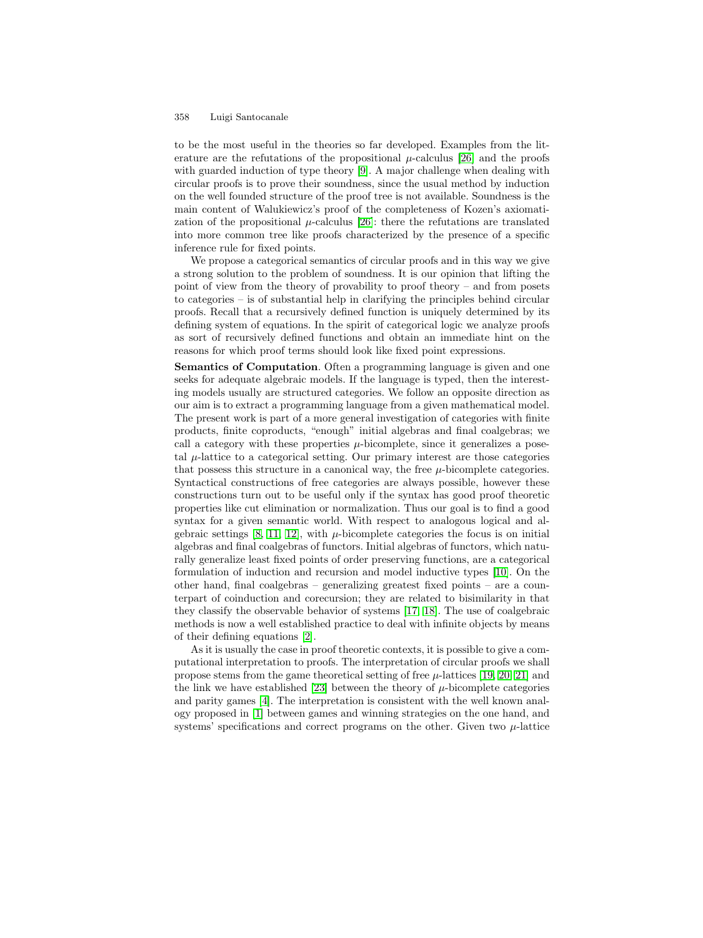to be the most useful in the theories so far developed. Examples from the literature are the refutations of the propositional  $\mu$ -calculus [\[26\]](#page-14-0) and the proofs with guarded induction of type theory [\[9\]](#page-14-0). A major challenge when dealing with circular proofs is to prove their soundness, since the usual method by induction on the well founded structure of the proof tree is not available. Soundness is the main content of Walukiewicz's proof of the completeness of Kozen's axiomatization of the propositional  $\mu$ -calculus [\[26\]](#page-14-0): there the refutations are translated into more common tree like proofs characterized by the presence of a specific inference rule for fixed points.

We propose a categorical semantics of circular proofs and in this way we give a strong solution to the problem of soundness. It is our opinion that lifting the point of view from the theory of provability to proof theory – and from posets to categories – is of substantial help in clarifying the principles behind circular proofs. Recall that a recursively defined function is uniquely determined by its defining system of equations. In the spirit of categorical logic we analyze proofs as sort of recursively defined functions and obtain an immediate hint on the reasons for which proof terms should look like fixed point expressions.

**Semantics of Computation**. Often a programming language is given and one seeks for adequate algebraic models. If the language is typed, then the interesting models usually are structured categories. We follow an opposite direction as our aim is to extract a programming language from a given mathematical model. The present work is part of a more general investigation of categories with finite products, finite coproducts, "enough" initial algebras and final coalgebras; we call a category with these properties  $\mu$ -bicomplete, since it generalizes a posetal  $\mu$ -lattice to a categorical setting. Our primary interest are those categories that possess this structure in a canonical way, the free  $\mu$ -bicomplete categories. Syntactical constructions of free categories are always possible, however these constructions turn out to be useful only if the syntax has good proof theoretic properties like cut elimination or normalization. Thus our goal is to find a good syntax for a given semantic world. With respect to analogous logical and algebraic settings  $[8, 11, 12]$ , with  $\mu$ -bicomplete categories the focus is on initial algebras and final coalgebras of functors. Initial algebras of functors, which naturally generalize least fixed points of order preserving functions, are a categorical formulation of induction and recursion and model inductive types [\[10\]](#page-14-0). On the other hand, final coalgebras – generalizing greatest fixed points – are a counterpart of coinduction and corecursion; they are related to bisimilarity in that they classify the observable behavior of systems [\[17, 18\]](#page-14-0). The use of coalgebraic methods is now a well established practice to deal with infinite objects by means of their defining equations [\[2\]](#page-13-0).

As it is usually the case in proof theoretic contexts, it is possible to give a computational interpretation to proofs. The interpretation of circular proofs we shall propose stems from the game theoretical setting of free  $\mu$ -lattices [\[19, 20, 21\]](#page-14-0) and the link we have established  $[23]$  between the theory of  $\mu$ -bicomplete categories and parity games [\[4\]](#page-13-0). The interpretation is consistent with the well known analogy proposed in [\[1\]](#page-13-0) between games and winning strategies on the one hand, and systems' specifications and correct programs on the other. Given two  $\mu$ -lattice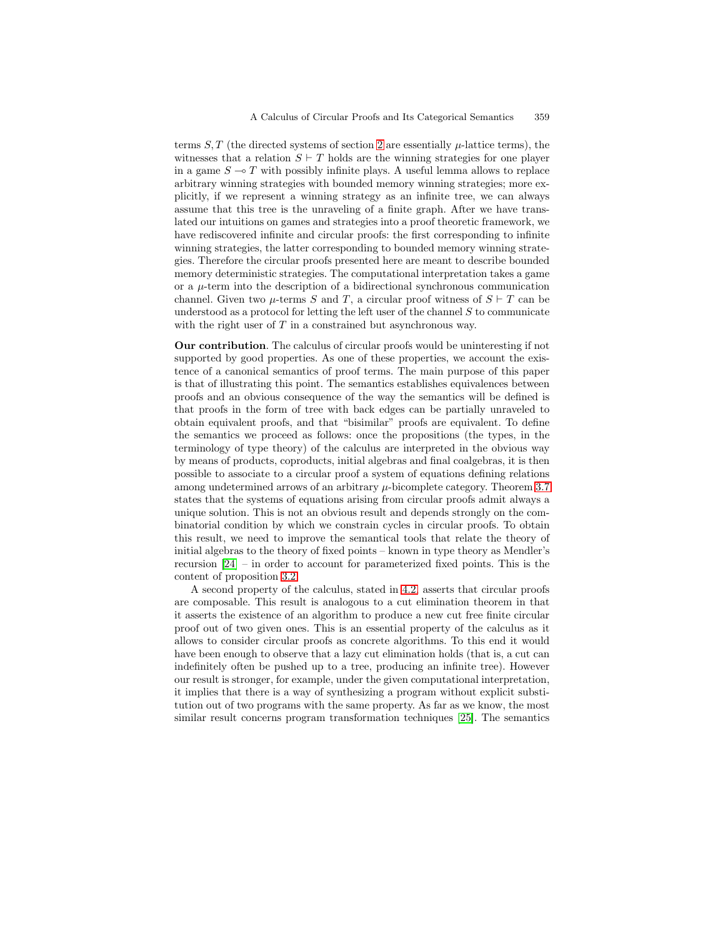terms  $S, T$  (the directed systems of section [2](#page-3-0) are essentially  $\mu$ -lattice terms), the witnesses that a relation  $S \vdash T$  holds are the winning strategies for one player in a game  $S \rightarrow T$  with possibly infinite plays. A useful lemma allows to replace arbitrary winning strategies with bounded memory winning strategies; more explicitly, if we represent a winning strategy as an infinite tree, we can always assume that this tree is the unraveling of a finite graph. After we have translated our intuitions on games and strategies into a proof theoretic framework, we have rediscovered infinite and circular proofs: the first corresponding to infinite winning strategies, the latter corresponding to bounded memory winning strategies. Therefore the circular proofs presented here are meant to describe bounded memory deterministic strategies. The computational interpretation takes a game or a  $\mu$ -term into the description of a bidirectional synchronous communication channel. Given two  $\mu$ -terms S and T, a circular proof witness of  $S \vdash T$  can be understood as a protocol for letting the left user of the channel  $S$  to communicate with the right user of  $T$  in a constrained but asynchronous way.

**Our contribution**. The calculus of circular proofs would be uninteresting if not supported by good properties. As one of these properties, we account the existence of a canonical semantics of proof terms. The main purpose of this paper is that of illustrating this point. The semantics establishes equivalences between proofs and an obvious consequence of the way the semantics will be defined is that proofs in the form of tree with back edges can be partially unraveled to obtain equivalent proofs, and that "bisimilar" proofs are equivalent. To define the semantics we proceed as follows: once the propositions (the types, in the terminology of type theory) of the calculus are interpreted in the obvious way by means of products, coproducts, initial algebras and final coalgebras, it is then possible to associate to a circular proof a system of equations defining relations among undetermined arrows of an arbitrary  $\mu$ -bicomplete category. Theorem [3.7](#page-12-0) states that the systems of equations arising from circular proofs admit always a unique solution. This is not an obvious result and depends strongly on the combinatorial condition by which we constrain cycles in circular proofs. To obtain this result, we need to improve the semantical tools that relate the theory of initial algebras to the theory of fixed points – known in type theory as Mendler's recursion [\[24\]](#page-14-0) – in order to account for parameterized fixed points. This is the content of proposition [3.2.](#page-8-0)

A second property of the calculus, stated in [4.2,](#page-13-0) asserts that circular proofs are composable. This result is analogous to a cut elimination theorem in that it asserts the existence of an algorithm to produce a new cut free finite circular proof out of two given ones. This is an essential property of the calculus as it allows to consider circular proofs as concrete algorithms. To this end it would have been enough to observe that a lazy cut elimination holds (that is, a cut can indefinitely often be pushed up to a tree, producing an infinite tree). However our result is stronger, for example, under the given computational interpretation, it implies that there is a way of synthesizing a program without explicit substitution out of two programs with the same property. As far as we know, the most similar result concerns program transformation techniques [\[25\]](#page-14-0). The semantics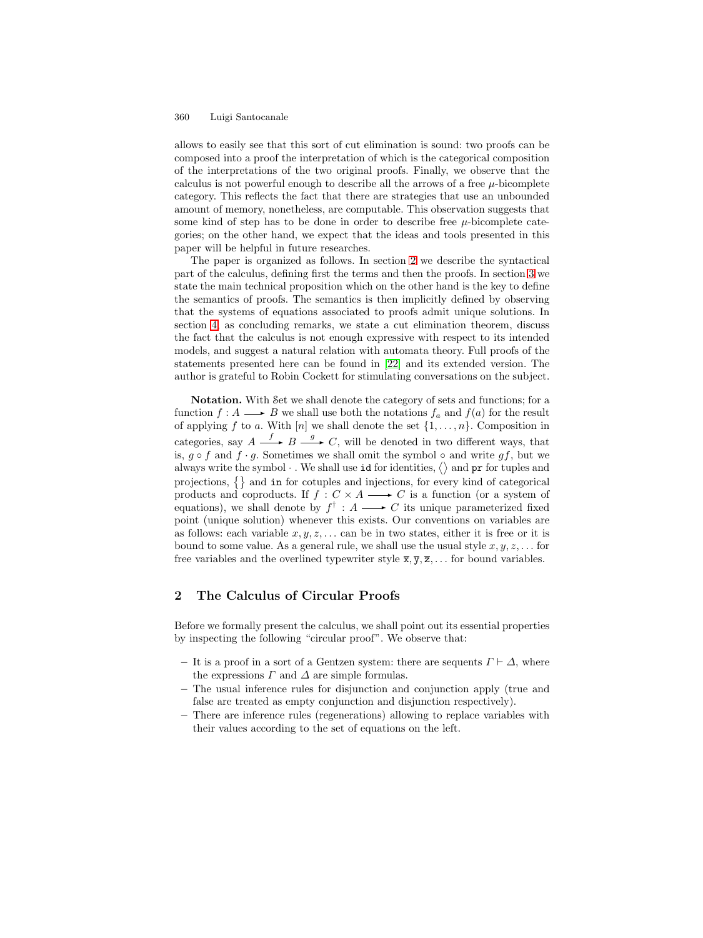<span id="page-3-0"></span>allows to easily see that this sort of cut elimination is sound: two proofs can be composed into a proof the interpretation of which is the categorical composition of the interpretations of the two original proofs. Finally, we observe that the calculus is not powerful enough to describe all the arrows of a free  $\mu$ -bicomplete category. This reflects the fact that there are strategies that use an unbounded amount of memory, nonetheless, are computable. This observation suggests that some kind of step has to be done in order to describe free  $\mu$ -bicomplete categories; on the other hand, we expect that the ideas and tools presented in this paper will be helpful in future researches.

The paper is organized as follows. In section 2 we describe the syntactical part of the calculus, defining first the terms and then the proofs. In section [3](#page-8-0) we state the main technical proposition which on the other hand is the key to define the semantics of proofs. The semantics is then implicitly defined by observing that the systems of equations associated to proofs admit unique solutions. In section [4,](#page-12-0) as concluding remarks, we state a cut elimination theorem, discuss the fact that the calculus is not enough expressive with respect to its intended models, and suggest a natural relation with automata theory. Full proofs of the statements presented here can be found in [\[22\]](#page-14-0) and its extended version. The author is grateful to Robin Cockett for stimulating conversations on the subject.

**Notation.** With Set we shall denote the category of sets and functions; for a function  $f : A \longrightarrow B$  we shall use both the notations  $f_a$  and  $f(a)$  for the result of applying f to a. With  $[n]$  we shall denote the set  $\{1,\ldots,n\}$ . Composition in categories, say  $A \xrightarrow{f} B \xrightarrow{g} C$ , will be denoted in two different ways, that is,  $g \circ f$  and  $f \cdot g$ . Sometimes we shall omit the symbol  $\circ$  and write gf, but we always write the symbol  $\cdot$  . We shall use id for identities,  $\langle \rangle$  and pr for tuples and projections,  $\{\}$  and in for cotuples and injections, for every kind of categorical products and coproducts. If  $f: C \times A \longrightarrow C$  is a function (or a system of equations), we shall denote by  $f^{\dagger}: A \longrightarrow C$  its unique parameterized fixed point (unique solution) whenever this exists. Our conventions on variables are as follows: each variable  $x, y, z, \ldots$  can be in two states, either it is free or it is bound to some value. As a general rule, we shall use the usual style  $x, y, z, \ldots$  for free variables and the overlined typewriter style  $\bar{x}, \bar{y}, \bar{z}, \ldots$  for bound variables.

## **2 The Calculus of Circular Proofs**

Before we formally present the calculus, we shall point out its essential properties by inspecting the following "circular proof". We observe that:

- It is a proof in a sort of a Gentzen system: there are sequents  $\Gamma \vdash \Delta$ , where the expressions  $\Gamma$  and  $\Delta$  are simple formulas.
- **–** The usual inference rules for disjunction and conjunction apply (true and false are treated as empty conjunction and disjunction respectively).
- **–** There are inference rules (regenerations) allowing to replace variables with their values according to the set of equations on the left.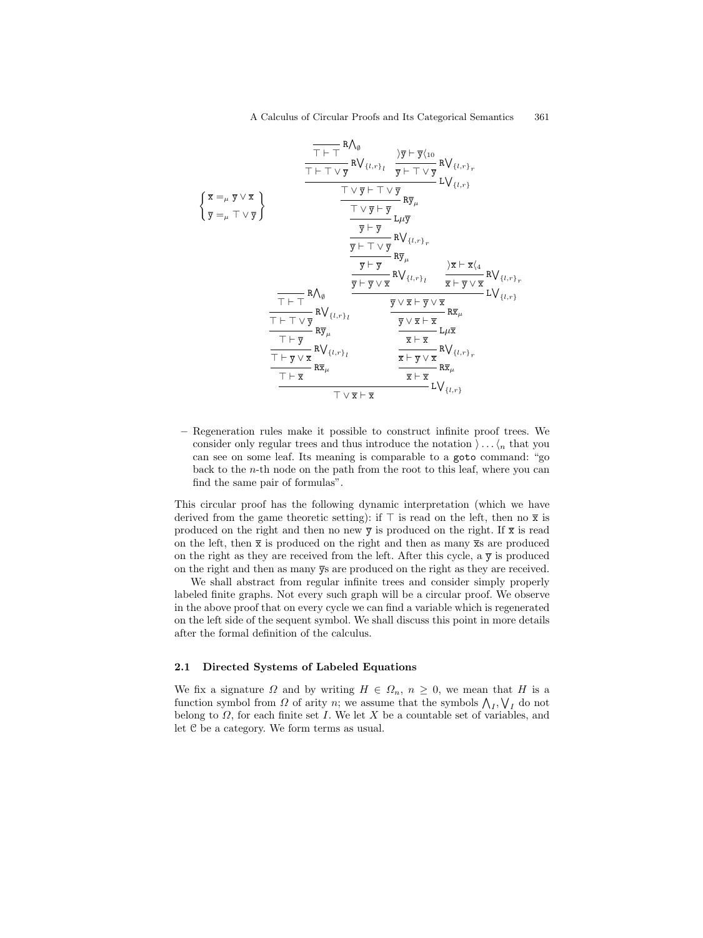<span id="page-4-0"></span>
$$
\frac{\overline{\tau}\mapsto R\bigwedge_{\emptyset}\gamma_{\overline{y}}\otimes \overline{\tau}\otimes \overline{\tau}\bigwedge_{\{l,r\}_{r}}\gamma_{\overline{y}}\otimes R\bigwedge_{\{l,r\}_{r}}\gamma_{\overline{y}}\otimes R\bigwedge_{\{l,r\}_{r}}\gamma_{\overline{y}}\otimes R\bigwedge_{\{l,r\}_{r}}\gamma_{\overline{y}}\otimes \overline{R}\bigwedge_{\{l,r\}_{r}}\gamma_{\overline{y}}\otimes \overline{R}\bigwedge_{\{l,r\}_{r}}\gamma_{\overline{y}}\otimes \overline{R}\bigwedge_{\{l,r\}_{r}}\gamma_{\overline{y}}\otimes \overline{R}\bigwedge_{\{l,r\}_{r}}\gamma_{\overline{y}}\otimes \overline{R}\bigwedge_{\{l,r\}_{r}}\gamma_{\overline{y}}\otimes \overline{R}\bigwedge_{\{l,r\}_{r}}\gamma_{\overline{y}}\otimes \overline{R}\bigwedge_{\{l,r\}_{r}}\gamma_{\overline{y}}\otimes \overline{R}\bigwedge_{\{l,r\}_{r}}\gamma_{\overline{y}}\otimes \overline{R}\bigwedge_{\{l,r\}_{r}}\gamma_{\overline{y}}\otimes \overline{R}\bigwedge_{\{l,r\}_{r}}\gamma_{\overline{y}}\otimes \overline{R}\bigwedge_{\{l,r\}_{r}}\gamma_{\overline{y}}\otimes \overline{R}\bigwedge_{\{l,r\}_{r}}\gamma_{\overline{y}}\gamma_{\overline{y}}\otimes \overline{R}\bigwedge_{\{l,r\}_{r}}\gamma_{\overline{y}}\gamma_{\overline{y}}\otimes \overline{R}\bigwedge_{\{l,r\}_{r}}\gamma_{\overline{y}}\gamma_{\overline{y}}\otimes \overline{R}\bigwedge_{\{l,r\}_{r}}\gamma_{\overline{y}}\gamma_{\overline{y}}\otimes \overline{R}\bigwedge_{\{l,r\}_{r}}\gamma_{\overline{y}}\gamma_{\overline{y}}\otimes \overline{R}\bigwedge_{\{l,r\}_{r}}\gamma_{\overline{y}}\gamma_{\overline{y}}\otimes \overline{R}\bigwedge_{\{l,r\}_{r}}\gamma_{\overline{y}}\gamma_{\overline{y}}\otimes \overline{R}\bigwedge_{
$$

**–** Regeneration rules make it possible to construct infinite proof trees. We consider only regular trees and thus introduce the notation  $\ldots \ldots \ldots$  that you can see on some leaf. Its meaning is comparable to a goto command: "go back to the n-th node on the path from the root to this leaf, where you can find the same pair of formulas".

This circular proof has the following dynamic interpretation (which we have derived from the game theoretic setting): if  $\top$  is read on the left, then no  $\bar{x}$  is produced on the right and then no new  $\bar{y}$  is produced on the right. If  $\bar{x}$  is read on the left, then  $\bar{x}$  is produced on the right and then as many  $\bar{x}$ s are produced on the right as they are received from the left. After this cycle, a  $\bar{y}$  is produced on the right and then as many  $\bar{y}$ s are produced on the right as they are received.

We shall abstract from regular infinite trees and consider simply properly labeled finite graphs. Not every such graph will be a circular proof. We observe in the above proof that on every cycle we can find a variable which is regenerated on the left side of the sequent symbol. We shall discuss this point in more details after the formal definition of the calculus.

#### **2.1 Directed Systems of Labeled Equations**

We fix a signature  $\Omega$  and by writing  $H \in \Omega_n$ ,  $n \geq 0$ , we mean that H is a function symbol from  $\Omega$  of arity  $n$ ; we assume that the symbols  $\bigwedge_I, \bigvee_I$  do not belong to  $\Omega$ , for each finite set I. We let X be a countable set of variables, and let C be a category. We form terms as usual.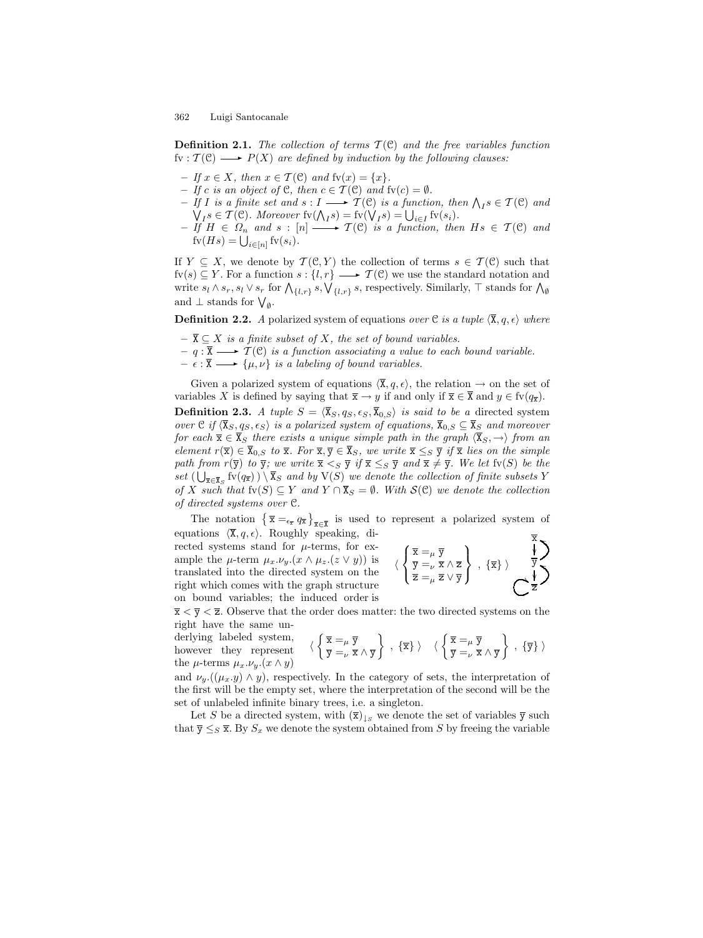**Definition 2.1.** The collection of terms  $\mathcal{T}(\mathcal{C})$  and the free variables function  $f_V: \mathcal{T}(\mathcal{C}) \longrightarrow P(X)$  are defined by induction by the following clauses:

- $-If \, x \in X$ , then  $x \in \mathcal{T}(\mathcal{C})$  and  $f(v(x)) = \{x\}.$
- $-If\ c\ is\ an\ object\ of\ \mathcal{C},\ then\ c\in\mathcal{T}(\mathcal{C})\ and\ \mathrm{fv}(c)=\emptyset.$
- $-If I$  is a finite set and  $s: I \longrightarrow T(\mathcal{C})$  is a function, then  $\bigwedge_I s \in T(\mathcal{C})$  and  $\bigvee_{I} s \in \mathcal{T}(\mathcal{C})$ . Moreover  $\text{fv}(\bigwedge_{I} s) = \text{fv}(\bigvee_{I} s) = \bigcup_{i \in I} \text{fv}(s_i)$ .
- $-If$   $H \in \Omega_n$  and  $s : [n] \longrightarrow T(\mathfrak{C})$  is a function, then  $Hs \in T(\mathfrak{C})$  and  $f_V(Hs) = \bigcup_{i \in [n]} f_V(s_i).$

If  $Y \subseteq X$ , we denote by  $\mathcal{T}(\mathcal{C}, Y)$  the collection of terms  $s \in \mathcal{T}(\mathcal{C})$  such that  $f(v(s) \subseteq Y$ . For a function  $s: \{l, r\} \longrightarrow T(\mathfrak{C})$  we use the standard notation and write  $s_l \wedge s_r, s_l \vee s_r$  for  $\bigwedge_{\{l,r\}} s, \bigvee_{\{l,r\}} s$ , respectively. Similarly,  $\top$  stands for  $\bigwedge_{\emptyset}$ and  $\perp$  stands for  $\bigvee_{\emptyset}$ .

**Definition 2.2.** A polarized system of equations over C is a tuple  $\langle \overline{\mathbf{X}}, q, \epsilon \rangle$  where

- $-\overline{X} \subseteq X$  is a finite subset of X, the set of bound variables.
- $q : \overline{\overline{x}} \longrightarrow \overline{\mathcal{T}}(\mathcal{C})$  is a function associating a value to each bound variable.
- $-\epsilon : \overline{\mathbf{X}} \longrightarrow {\mu, \nu}$  is a labeling of bound variables.

Given a polarized system of equations  $\langle \overline{\mathbf{x}}, q, \epsilon \rangle$ , the relation  $\rightarrow$  on the set of variables X is defined by saying that  $\overline{x} \to y$  if and only if  $\overline{x} \in \overline{X}$  and  $y \in \text{fv}(q_{\overline{x}})$ . **Definition 2.3.** A tuple  $S = \langle \overline{X}_S, q_S, \epsilon_S, \overline{X}_{0,S} \rangle$  is said to be a directed system over C if  $\langle \overline{X}_S, q_S, \epsilon_S \rangle$  is a polarized system of equations,  $\overline{X}_{0,S} \subseteq \overline{X}_S$  and moreover for each  $\overline{x} \in \overline{X}_S$  there exists a unique simple path in the graph  $\langle \overline{X}_S, \rightarrow \rangle$  from an element  $r(\overline{x}) \in \overline{X}_{0,S}$  to  $\overline{x}$ . For  $\overline{x}, \overline{y} \in \overline{X}_S$ , we write  $\overline{x} \leq_S \overline{y}$  if  $\overline{x}$  lies on the simple path from  $r(\overline{y})$  to  $\overline{y}$ ; we write  $\overline{x} \leq_S \overline{y}$  if  $\overline{x} \leq_S \overline{y}$  and  $\overline{x} \neq \overline{y}$ . We let fv(S) be the set  $(\bigcup_{\overline{x}\in \overline{X}_S}$  fv $(q_{\overline{x}}))\setminus \overline{X}_S$  and by  $V(S)$  we denote the collection of finite subsets Y of X such that  $f(v) \subseteq Y$  and  $Y \cap \overline{X}_S = \emptyset$ . With  $\mathcal{S}(\mathcal{C})$  we denote the collection of directed systems over C.

The notation  $\left\{\overline{x} =_{\epsilon_{\overline{x}}} q_{\overline{x}}\right\}_{\overline{x} \in \overline{X}}$  is used to represent a polarized system of equations  $\langle \overline{\mathbf{X}}, q, \epsilon \rangle$ . Roughly speaking, dix -

rected systems stand for  $\mu$ -terms, for example the  $\mu$ -term  $\mu_x.\nu_y.(x \wedge \mu_z.(z \vee y))$  is translated into the directed system on the right which comes with the graph structure on bound variables; the induced order is

$$
\langle \left\{ \frac{\overline{x} =_{\mu} \overline{y}}{\overline{y} =_{\nu} \overline{x} \wedge \overline{z}} \right\}, \left\{ \overline{x} \right\} \rangle \overset{\overset{\circ}{\mathbf{y}}}{\longrightarrow} \left\{ \frac{\overline{y}}{\overline{z}} \right\}
$$

 $\bar{x} < \bar{y} < \bar{z}$ . Observe that the order does matter: the two directed systems on the right have the same un-

derlying labeled system, however they represent the  $\mu$ -terms  $\mu_x.\nu_y.(x \wedge y)$  $\langle \begin{cases} \overline{x} =_{\mu} \overline{y} \\ \overline{x} =_{\mu} \overline{y} \end{cases}$  $\overline{y} =_{\nu} \overline{x} \wedge \overline{y}$  , {x} <sup>x</sup> <sup>=</sup><sup>µ</sup> <sup>y</sup> y =<sup>ν</sup> x ∧ y  $\Big\}$ ,  $\{\overline{y}\}\Big\}$ 

and  $\nu_y$ .( $(\mu_x, y) \wedge y$ ), respectively. In the category of sets, the interpretation of the first will be the empty set, where the interpretation of the second will be the set of unlabeled infinite binary trees, i.e. a singleton.

Let S be a directed system, with  $(\overline{x})_{\downarrow_S}$  we denote the set of variables  $\overline{y}$  such that  $\overline{y} \leq_S \overline{x}$ . By  $S_x$  we denote the system obtained from S by freeing the variable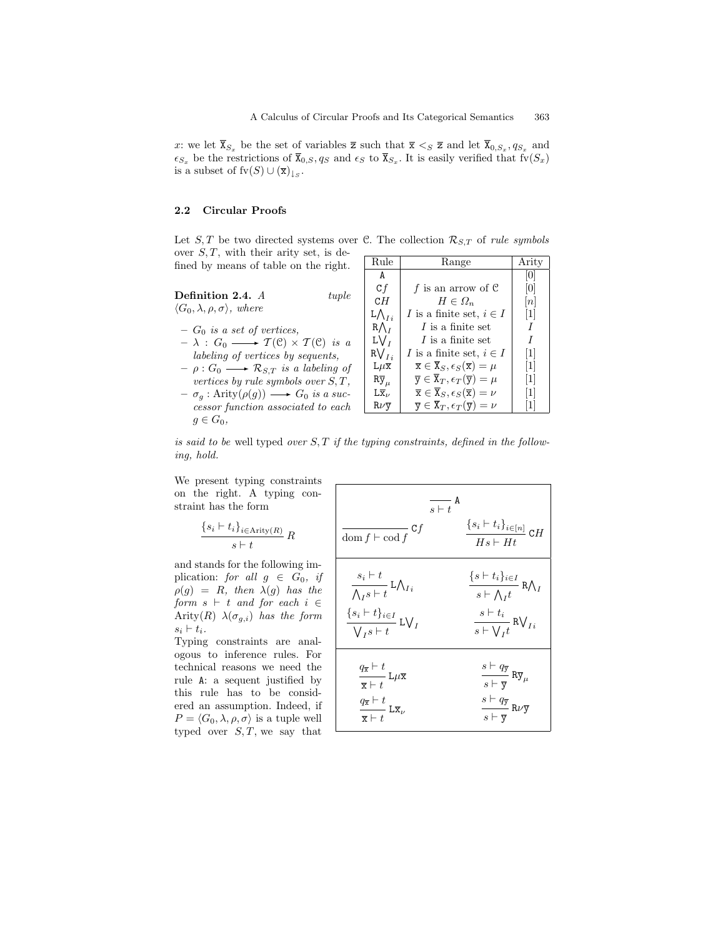x: we let  $\overline{X}_{S_x}$  be the set of variables  $\overline{z}$  such that  $\overline{x} \lt S \overline{z}$  and let  $\overline{X}_{0,S_x}, q_{S_x}$  and  $\epsilon_{S_x}$  be the restrictions of  $\overline{X}_{0,S}, q_S$  and  $\epsilon_S$  to  $\overline{X}_{S_x}$ . It is easily verified that  $fv(S_x)$ is a subset of  $f_{V}(S) \cup (\overline{x})_{\perp_S}$ .

### **2.2 Circular Proofs**

Let S, T be two directed systems over C. The collection  $\mathcal{R}_{S,T}$  of rule symbols over  $S, T$ , with their arity set, is defined by means of table on the right.

**Definition 2.4.** A tuple  $\langle G_0, \lambda, \rho, \sigma \rangle$ , where

- **–** G<sup>0</sup> is a set of vertices,
- $\lambda : G_0 \longrightarrow T(\mathcal{C}) \times T(\mathcal{C})$  is a labeling of vertices by sequents,
- $\rho : G_0 \longrightarrow \mathcal{R}_{S,T}$  is a labeling of vertices by rule symbols over  $S, T$ ,  $- \sigma_g :$  Arity $(\rho(g)) \longrightarrow G_0$  is a suc-
- cessor function associated to each  $g \in G_0$ ,

| Rule                                 | Range                                                                                        | Arity             |
|--------------------------------------|----------------------------------------------------------------------------------------------|-------------------|
| A                                    |                                                                                              | 101               |
| C f                                  | f is an arrow of $\mathfrak C$                                                               | 0                 |
| CН                                   | $H \in \Omega_n$                                                                             | [n]               |
| L $\bigwedge_{I_i}$                  | I is a finite set, $i \in I$                                                                 | $\lceil 1 \rceil$ |
| $R/\sqrt{1}$                         | $I$ is a finite set                                                                          | $\overline{I}$    |
| $LV_r$                               | $I$ is a finite set                                                                          | $\overline{I}$    |
| $RV_{Ii}$                            | I is a finite set, $i \in I$                                                                 | $\lceil 1 \rceil$ |
| $L\mu\overline{x}$                   | $\overline{\mathbf{x}} \in \overline{\mathbf{X}}_S, \epsilon_S(\overline{\mathbf{x}}) = \mu$ | $\lceil 1 \rceil$ |
| $R\overline{y}_\mu$                  | $\overline{y} \in \overline{X}_T, \epsilon_T(\overline{y}) = \mu$                            | $\lceil 1 \rceil$ |
| $L\overline{x}_{\nu}$                | $\overline{\mathbf{x}} \in \overline{\mathbf{X}}_S, \epsilon_S(\overline{\mathbf{x}}) = \nu$ | $\lceil 1 \rceil$ |
| $\mathrm{R}\nu\overline{\mathrm{v}}$ | $\overline{y} \in \overline{X}_T, \epsilon_T(\overline{y}) = \nu$                            | $\frac{1}{2}$     |

is said to be well typed over  $S, T$  if the typing constraints, defined in the following, hold.

We present typing constraints on the right. A typing constraint has the form

$$
\frac{\{s_i \vdash t_i\}_{i \in \text{Arity}(R)} }{s \vdash t} R
$$

and stands for the following implication: for all  $g \in G_0$ , if  $\rho(g) = R$ , then  $\lambda(g)$  has the form  $s \vdash t$  and for each  $i \in$ Arity(R)  $\lambda(\sigma_{g,i})$  has the form  $s_i \vdash t_i.$ 

Typing constraints are analogous to inference rules. For technical reasons we need the rule A: a sequent justified by this rule has to be considered an assumption. Indeed, if  $P = \langle G_0, \lambda, \rho, \sigma \rangle$  is a tuple well typed over  $S, T$ , we say that

| $\overline{\operatorname{dom} f \vdash \operatorname{cod} f} \; \mathsf{C} f$                                        | — A<br>$s \vdash t$<br>$\frac{\{s_i \vdash t_i\}_{i \in [n]} }{ \cdots } \mathsf{C} H$<br>$Hs \vdash Ht$              |
|----------------------------------------------------------------------------------------------------------------------|-----------------------------------------------------------------------------------------------------------------------|
| $\frac{s_i \vdash t}{\bigwedge_I s \vdash t}$ L $\bigwedge_{I_i}$                                                    | $\frac{\{s\vdash t_i\}_{i\in I}}{s\vdash \bigwedge_I t} \, \mathtt{R} \bigwedge_I$                                    |
| $\frac{\{s_i\vdash t\}_{i\in I}}{\bigvee_I s\vdash t}\,\mathsf{L}\bigvee_I$                                          | $\frac{s\vdash t_i}{s\vdash\bigvee_{I}t}\,\textsf{R}\bigvee_{I\,i}$                                                   |
| $\frac{q_{\overline{\mathbf{x}}} \vdash t}{\overline{\mathbf{x}} \vdash t} \, \mathtt{L} \mu \overline{\mathbf{x}}$  | $\frac{s \vdash q_{\overline{\mathbf{y}}}}{s \vdash \overline{\mathbf{y}}} \, \mathtt{R} \overline{\mathbf{y}}_{\mu}$ |
| $\frac{q_{\overline{\mathbf{x}}} \vdash t}{\overline{\mathbf{x}} \vdash t} \ \mathtt{L} \overline{\mathbf{x}}_{\nu}$ | $\frac{s \vdash q_{\overline{y}}}{s \vdash \overline{y}} \ {\rm R} \nu \overline{y}$                                  |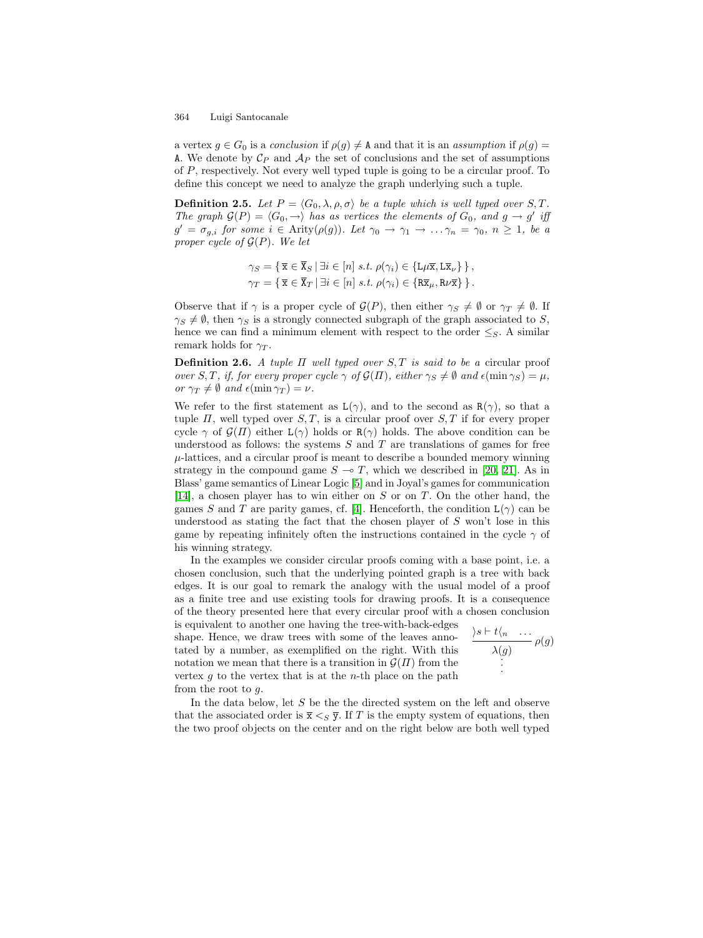<span id="page-7-0"></span>a vertex  $g \in G_0$  is a conclusion if  $\rho(g) \neq A$  and that it is an assumption if  $\rho(g) =$ A. We denote by  $\mathcal{C}_P$  and  $\mathcal{A}_P$  the set of conclusions and the set of assumptions of P, respectively. Not every well typed tuple is going to be a circular proof. To define this concept we need to analyze the graph underlying such a tuple.

**Definition 2.5.** Let  $P = \langle G_0, \lambda, \rho, \sigma \rangle$  be a tuple which is well typed over S, T. The graph  $\mathcal{G}(P) = \langle G_0, \rightarrow \rangle$  has as vertices the elements of  $G_0$ , and  $g \rightarrow g'$  iff  $g' = \sigma_{g,i}$  for some  $i \in$  Arity $(\rho(g))$ . Let  $\gamma_0 \to \gamma_1 \to \ldots \gamma_n = \gamma_0$ ,  $n \geq 1$ , be a proper cycle of  $\mathcal{G}(P)$ . We let

$$
\gamma_S = \{ \overline{\mathbf{x}} \in \overline{\mathbf{X}}_S \mid \exists i \in [n] \text{ s.t. } \rho(\gamma_i) \in \{ \mathbf{L} \mu \overline{\mathbf{x}}, \mathbf{L} \overline{\mathbf{x}}_\nu \} \},
$$
  

$$
\gamma_T = \{ \overline{\mathbf{x}} \in \overline{\mathbf{X}}_T \mid \exists i \in [n] \text{ s.t. } \rho(\gamma_i) \in \{ \mathbf{R} \overline{\mathbf{x}}_\mu, \mathbf{R} \nu \overline{\mathbf{x}} \} \}.
$$

Observe that if  $\gamma$  is a proper cycle of  $\mathcal{G}(P)$ , then either  $\gamma_S \neq \emptyset$  or  $\gamma_T \neq \emptyset$ . If  $\gamma_S \neq \emptyset$ , then  $\gamma_S$  is a strongly connected subgraph of the graph associated to S, hence we can find a minimum element with respect to the order  $\leq_S$ . A similar remark holds for  $\gamma_T$ .

**Definition 2.6.** A tuple  $\Pi$  well typed over  $S$ ,  $T$  is said to be a circular proof over S, T, if, for every proper cycle  $\gamma$  of  $\mathcal{G}(\Pi)$ , either  $\gamma_S \neq \emptyset$  and  $\epsilon(\min \gamma_S) = \mu$ , or  $\gamma_T \neq \emptyset$  and  $\epsilon(\min \gamma_T) = \nu$ .

We refer to the first statement as  $L(\gamma)$ , and to the second as  $R(\gamma)$ , so that a tuple  $\Pi$ , well typed over  $S$ , T, is a circular proof over  $S$ , T if for every proper cycle  $\gamma$  of  $\mathcal{G}(\Pi)$  either  $L(\gamma)$  holds or  $R(\gamma)$  holds. The above condition can be understood as follows: the systems  $S$  and  $T$  are translations of games for free  $\mu$ -lattices, and a circular proof is meant to describe a bounded memory winning strategy in the compound game  $S \to T$ , which we described in [\[20, 21\]](#page-14-0). As in Blass' game semantics of Linear Logic [\[5\]](#page-13-0) and in Joyal's games for communication [\[14\]](#page-14-0), a chosen player has to win either on  $S$  or on  $T$ . On the other hand, the games S and T are parity games, cf. [\[4\]](#page-13-0). Henceforth, the condition  $L(\gamma)$  can be understood as stating the fact that the chosen player of  $S$  won't lose in this game by repeating infinitely often the instructions contained in the cycle  $\gamma$  of his winning strategy.

In the examples we consider circular proofs coming with a base point, i.e. a chosen conclusion, such that the underlying pointed graph is a tree with back edges. It is our goal to remark the analogy with the usual model of a proof as a finite tree and use existing tools for drawing proofs. It is a consequence of the theory presented here that every circular proof with a chosen conclusion is equivalent to another one having the tree-with-back-edges shape. Hence, we draw trees with some of the leaves anno-

tated by a number, as exemplified on the right. With this notation we mean that there is a transition in  $\mathcal{G}(\Pi)$  from the vertex  $g$  to the vertex that is at the *n*-th place on the path from the root to  $g$ .

 $\frac{\partial s \vdash t\langle n \quad \cdots}{\lambda(g)} \rho(g)$ · · ·

In the data below, let S be the the directed system on the left and observe that the associated order is  $\bar{x} \leq_S \bar{y}$ . If T is the empty system of equations, then the two proof objects on the center and on the right below are both well typed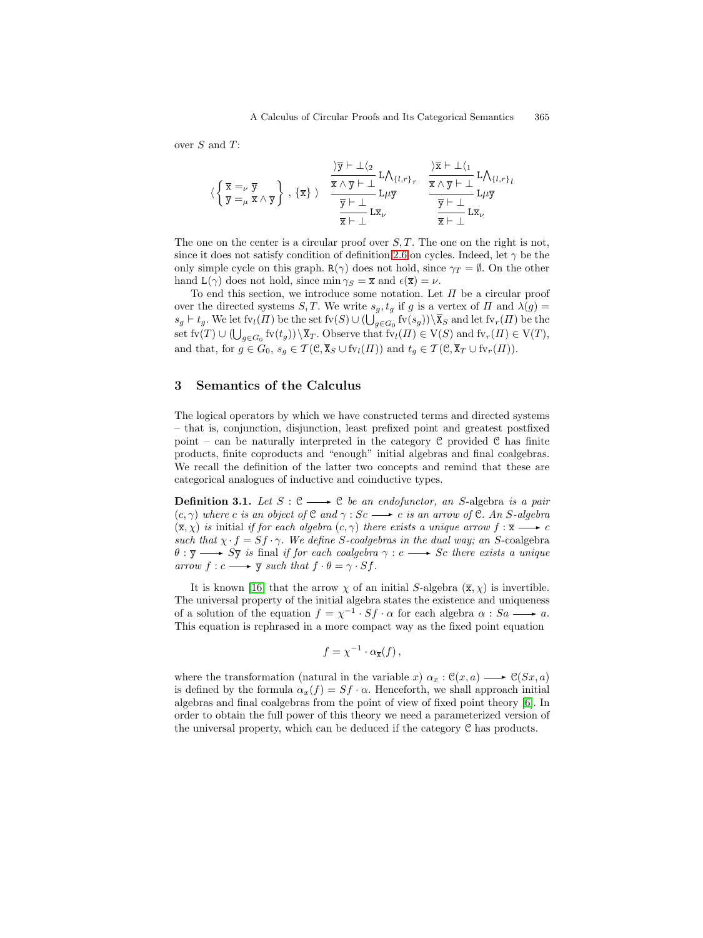<span id="page-8-0"></span>over S and T:

$$
\langle \left\{ \frac{\overline{x}}{\overline{y}} =_{\mu} \frac{\overline{y}}{\overline{x}} \wedge \overline{y} \right\}, \left\{ \overline{x} \right\} \rangle \begin{array}{c} \frac{\rangle \overline{y} \vdash \bot \langle 2 \rangle}{\overline{x} \wedge \overline{y} \vdash \bot} \mathbf{L} \bigwedge_{\{l,r\}_r} & \frac{\rangle \overline{x} \vdash \bot \langle 1 \rangle}{\overline{x} \wedge \overline{y} \vdash \bot} \mathbf{L} \bigwedge_{\{l,r\}_l} \\ \frac{\overline{y} \vdash \bot}{\overline{y} \vdash \bot} & \mathbf{L} \mu \overline{y} \end{array}
$$

The one on the center is a circular proof over  $S, T$ . The one on the right is not, since it does not satisfy condition of definition [2.6](#page-7-0) on cycles. Indeed, let  $\gamma$  be the only simple cycle on this graph.  $\mathbb{R}(\gamma)$  does not hold, since  $\gamma_T = \emptyset$ . On the other hand  $L(\gamma)$  does not hold, since min  $\gamma_S = \overline{x}$  and  $\epsilon(\overline{x}) = \nu$ .

To end this section, we introduce some notation. Let  $\Pi$  be a circular proof over the directed systems S, T. We write  $s_g, t_g$  if g is a vertex of  $\Pi$  and  $\lambda(g)$  =  $s_g \vdash t_g$ . We let  $fv_l(\Pi)$  be the set  $fv(S) \cup (\bigcup_{g \in G_0} fv(s_g)) \backslash \overline{X}_S$  and let  $fv_r(\Pi)$  be the set fv(T)  $\cup$  ( $\bigcup_{g\in G_0}$  fv(t<sub>g</sub>)) $\setminus \overline{\mathfrak{X}}_T$ . Observe that fv<sub>l</sub>( $\Pi$ )  $\in$  V(S) and fv<sub>r</sub>( $\Pi$ )  $\in$  V(T), and that, for  $g \in G_0$ ,  $s_q \in \mathcal{T}(\mathcal{C}, \overline{X}_S \cup \text{fv}_l(\Pi))$  and  $t_q \in \mathcal{T}(\mathcal{C}, \overline{X}_T \cup \text{fv}_r(\Pi))$ .

## **3 Semantics of the Calculus**

The logical operators by which we have constructed terms and directed systems – that is, conjunction, disjunction, least prefixed point and greatest postfixed point – can be naturally interpreted in the category  $\mathcal C$  provided  $\mathcal C$  has finite products, finite coproducts and "enough" initial algebras and final coalgebras. We recall the definition of the latter two concepts and remind that these are categorical analogues of inductive and coinductive types.

**Definition 3.1.** Let  $S : \mathcal{C} \longrightarrow \mathcal{C}$  be an endofunctor, an S-algebra is a pair  $(c, \gamma)$  where c is an object of C and  $\gamma : Sc \longrightarrow c$  is an arrow of C. An S-algebra  $(\overline{x}, \chi)$  is initial if for each algebra  $(c, \gamma)$  there exists a unique arrow  $f : \overline{x} \longrightarrow c$ such that  $\chi \cdot f = Sf \cdot \gamma$ . We define S-coalgebras in the dual way; an S-coalgebra  $\theta : \overline{y} \longrightarrow S\overline{y}$  is final if for each coalgebra  $\gamma : c \longrightarrow Sc$  there exists a unique arrow  $f: c \longrightarrow \overline{y}$  such that  $f \cdot \theta = \gamma \cdot Sf$ .

It is known [\[16\]](#page-14-0) that the arrow  $\chi$  of an initial S-algebra  $(\bar{x}, \chi)$  is invertible. The universal property of the initial algebra states the existence and uniqueness of a solution of the equation  $f = \chi^{-1} \cdot Sf \cdot \alpha$  for each algebra  $\alpha : Sa \longrightarrow a$ . This equation is rephrased in a more compact way as the fixed point equation

$$
f = \chi^{-1} \cdot \alpha_{\overline{x}}(f) \,,
$$

where the transformation (natural in the variable x)  $\alpha_x : \mathcal{C}(x, a) \longrightarrow \mathcal{C}(Sx, a)$ is defined by the formula  $\alpha_x(f) = Sf \cdot \alpha$ . Henceforth, we shall approach initial algebras and final coalgebras from the point of view of fixed point theory [\[6\]](#page-13-0). In order to obtain the full power of this theory we need a parameterized version of the universal property, which can be deduced if the category C has products.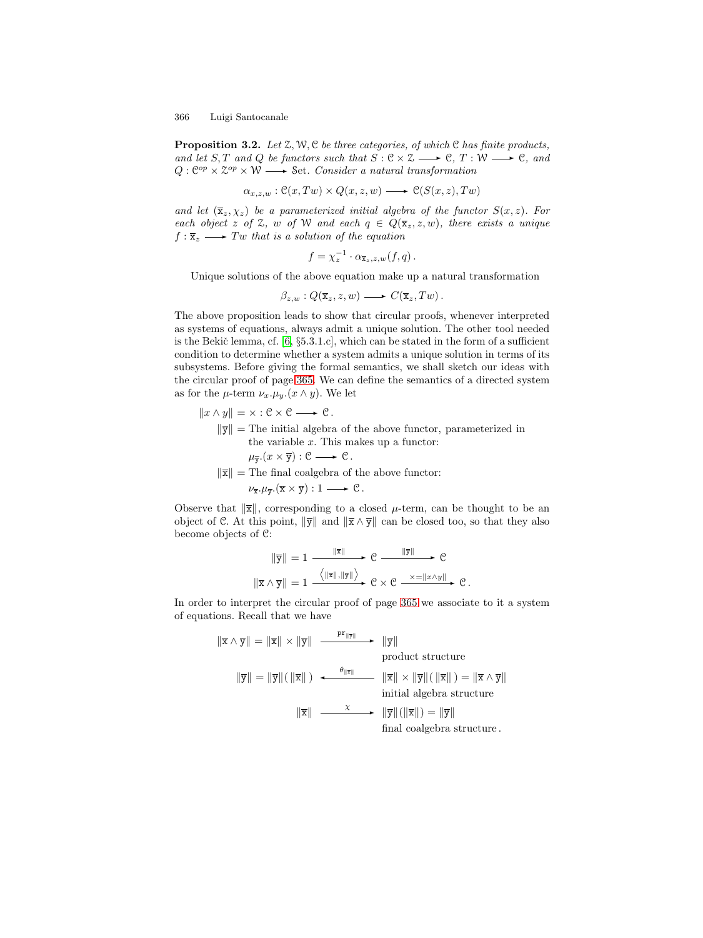**Proposition 3.2.** Let  $\mathcal{Z}, \mathcal{W}, \mathcal{C}$  be three categories, of which  $\mathcal{C}$  has finite products, and let S, T and Q be functors such that  $S: \mathcal{C} \times \mathcal{Z} \longrightarrow \mathcal{C}, T: \mathcal{W} \longrightarrow \mathcal{C},$  and  $Q: \mathbb{C}^{op} \times \mathbb{Z}^{op} \times \mathbb{W} \longrightarrow$  Set. Consider a natural transformation

$$
\alpha_{x,z,w}: \mathcal{C}(x,Tw) \times Q(x,z,w) \longrightarrow \mathcal{C}(S(x,z),Tw)
$$

and let  $(\bar{x}_z, \chi_z)$  be a parameterized initial algebra of the functor  $S(x, z)$ . For each object z of  $\mathfrak{X}$ , w of W and each  $q \in Q(\overline{\mathbf{x}}_z, z, w)$ , there exists a unique  $f: \overline{x}_z \longrightarrow Tw$  that is a solution of the equation

$$
f = \chi_z^{-1} \cdot \alpha_{\overline{\mathbf{x}}_z, z, w}(f, q) \, .
$$

Unique solutions of the above equation make up a natural transformation

$$
\beta_{z,w}: Q(\overline{\mathbf{x}}_z, z, w) \longrightarrow C(\overline{\mathbf{x}}_z, Tw).
$$

The above proposition leads to show that circular proofs, whenever interpreted as systems of equations, always admit a unique solution. The other tool needed is the Bekič lemma, cf.  $[6, §5.3.1.c]$  $[6, §5.3.1.c]$ , which can be stated in the form of a sufficient condition to determine whether a system admits a unique solution in terms of its subsystems. Before giving the formal semantics, we shall sketch our ideas with the circular proof of page [365.](#page-8-0) We can define the semantics of a directed system as for the  $\mu$ -term  $\nu_x.\mu_y.(x \wedge y)$ . We let

$$
||x \wedge y|| = \times : \mathcal{C} \times \mathcal{C} \longrightarrow \mathcal{C}.
$$

 $\|\overline{\mathbf{y}}\|$  = The initial algebra of the above functor, parameterized in the variable  $x$ . This makes up a functor:  $\mu_{\overline{y}}.(x \times \overline{y}) : \mathcal{C} \longrightarrow \mathcal{C}$ .

 $\|\overline{\mathbf{x}}\|$  = The final coalgebra of the above functor:

$$
\nu_{\overline{x}}.\mu_{\overline{y}}.(\overline{x}\times\overline{y}):1\longrightarrow\mathcal{C}.
$$

Observe that  $\|\bar{\mathbf{x}}\|$ , corresponding to a closed  $\mu$ -term, can be thought to be an object of C. At this point,  $\|\overline{y}\|$  and  $\|\overline{x} \wedge \overline{y}\|$  can be closed too, so that they also become objects of C:

$$
\|\overline{\mathbf{y}}\| = 1 \xrightarrow{\|\overline{\mathbf{x}}\|} \mathbf{C} \xrightarrow{\|\overline{\mathbf{y}}\|} \mathbf{C}
$$

$$
\|\overline{\mathbf{x}} \wedge \overline{\mathbf{y}}\| = 1 \xrightarrow{\langle \|\overline{\mathbf{x}}\|, \|\overline{\mathbf{y}}\|\rangle} \mathbf{C} \times \mathbf{C} \xrightarrow{\times = \|x \wedge y\|} \mathbf{C}.
$$

In order to interpret the circular proof of page [365](#page-8-0) we associate to it a system of equations. Recall that we have

$$
\|\overline{\mathbf{x}} \wedge \overline{\mathbf{y}}\| = \|\overline{\mathbf{x}}\| \times \|\overline{\mathbf{y}}\| \xrightarrow{\mathbf{p}\mathbf{r}_{\|\overline{\mathbf{y}}\|}} \mathbf{y} \qquad \text{product structure}
$$
\n
$$
\|\overline{\mathbf{y}}\| = \|\overline{\mathbf{y}}\| (\|\overline{\mathbf{x}}\|) \xleftarrow{\theta_{\|\overline{\mathbf{x}}\|}} \|\overline{\mathbf{x}}\| \times \|\overline{\mathbf{y}}\| (\|\overline{\mathbf{x}}\|) = \|\overline{\mathbf{x}} \wedge \overline{\mathbf{y}}\|
$$
\ninitial algebra structure

\n
$$
\|\overline{\mathbf{x}}\| \xrightarrow{\chi} \|\overline{\mathbf{y}}\| (\|\overline{\mathbf{x}}\|) = \|\overline{\mathbf{y}}\|
$$
\nfinal coalgebra structure.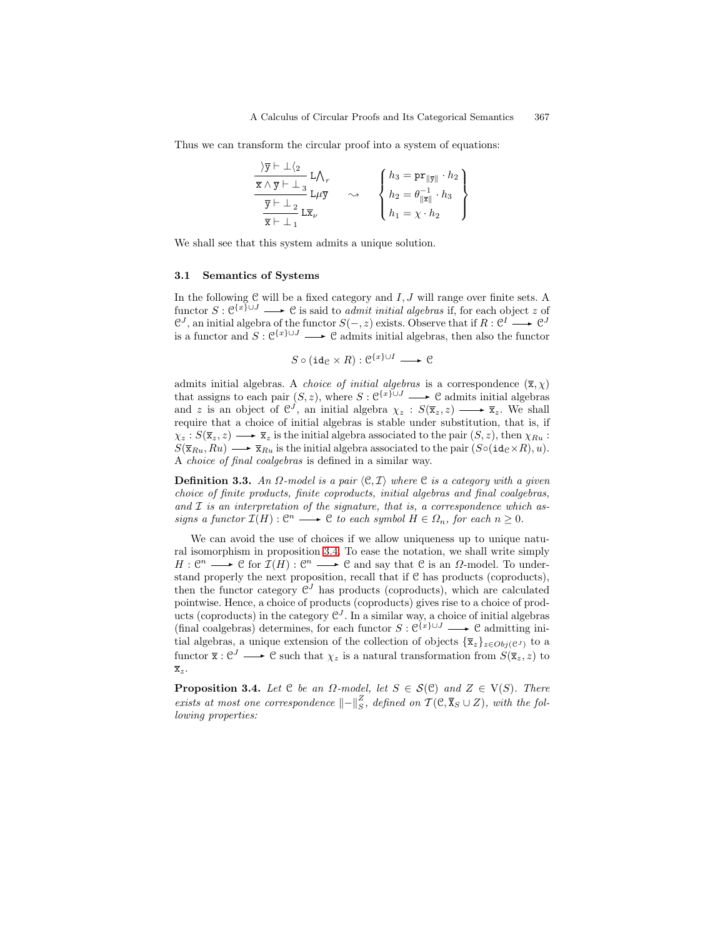Thus we can transform the circular proof into a system of equations:

$$
\frac{\overline{\overline{x}} \wedge \overline{y} + \perp \langle 2 \rangle}{\overline{x} \wedge \overline{y} + \perp_{3}} L \wedge_{r} \longrightarrow \begin{cases} h_{3} = \mathbf{p} \mathbf{r}_{\|\overline{y}\|} \cdot h_{2} \\ h_{2} = \theta_{\|\overline{x}\|}^{-1} \cdot h_{3} \\ h_{1} = \chi \cdot h_{2} \end{cases}
$$

We shall see that this system admits a unique solution.

#### **3.1 Semantics of Systems**

In the following  $C$  will be a fixed category and  $I, J$  will range over finite sets. A functor  $S: \mathcal{C}^{\{x\}\cup J} \longrightarrow \mathcal{C}$  is said to *admit initial algebras* if, for each object z of  $\mathcal{C}^J$ , an initial algebra of the functor  $S(-, z)$  exists. Observe that if  $R: \mathcal{C}^I \longrightarrow \mathcal{C}^J$ is a functor and  $S: \mathcal{C}^{\{x\} \cup J} \longrightarrow \mathcal{C}$  admits initial algebras, then also the functor

 $S \circ (\mathbf{id}_{\mathcal{C}} \times R) : \mathcal{C}^{\{x\} \cup I} \longrightarrow \mathcal{C}$ 

admits initial algebras. A *choice of initial algebras* is a correspondence  $(\bar{x}, \chi)$ that assigns to each pair  $(S, z)$ , where  $S: \mathcal{C}^{\{x\} \cup J} \longrightarrow \mathcal{C}$  admits initial algebras and z is an object of  $\mathcal{C}^J$ , an initial algebra  $\chi_z : S(\bar{x}_z, z) \longrightarrow \bar{x}_z$ . We shall require that a choice of initial algebras is stable under substitution, that is, if  $\chi_z : S(\overline{x}_z, z) \longrightarrow \overline{x}_z$  is the initial algebra associated to the pair  $(S, z)$ , then  $\chi_{Ru}$ :  $S(\overline{x}_{Ru}, Ru) \longrightarrow \overline{x}_{Ru}$  is the initial algebra associated to the pair  $(S \circ (\text{id}_{\mathcal{C}} \times R), u)$ . A choice of final coalgebras is defined in a similar way.

**Definition 3.3.** An  $\Omega$ -model is a pair  $\langle \mathfrak{C}, \mathcal{I} \rangle$  where  $\mathfrak{C}$  is a category with a given choice of finite products, finite coproducts, initial algebras and final coalgebras, and  $\mathcal I$  is an interpretation of the signature, that is, a correspondence which assigns a functor  $\mathcal{I}(H) : \mathbb{C}^n \longrightarrow \mathcal{C}$  to each symbol  $H \in \Omega_n$ , for each  $n \geq 0$ .

We can avoid the use of choices if we allow uniqueness up to unique natural isomorphism in proposition 3.4. To ease the notation, we shall write simply  $H: \mathbb{C}^n \longrightarrow \mathbb{C}$  for  $\mathcal{I}(H): \mathbb{C}^n \longrightarrow \mathbb{C}$  and say that  $\mathbb{C}$  is an  $\Omega$ -model. To understand properly the next proposition, recall that if C has products (coproducts), then the functor category  $\mathfrak{C}^J$  has products (coproducts), which are calculated pointwise. Hence, a choice of products (coproducts) gives rise to a choice of products (coproducts) in the category  $\mathcal{C}^{J}$ . In a similar way, a choice of initial algebras (final coalgebras) determines, for each functor  $S: \mathcal{C}^{\{x\}\cup J} \longrightarrow \mathcal{C}$  admitting initial algebras, a unique extension of the collection of objects  ${\{\overline{x}_z\}}_{z\in Ob_i(\mathcal{C}^J)}$  to a functor  $\bar{x}: \mathcal{C}^J \longrightarrow \mathcal{C}$  such that  $\chi_z$  is a natural transformation from  $S(\bar{x}_z, z)$  to  $\overline{\mathbf{x}}_z$ .

**Proposition 3.4.** Let  $C$  be an  $\Omega$ -model, let  $S \in \mathcal{S}(\mathcal{C})$  and  $Z \in V(S)$ . There exists at most one correspondence  $\Vert - \Vert_S^Z$ , defined on  $\mathcal{T}(\mathcal{C}, \overline{X}_S \cup Z)$ , with the following properties: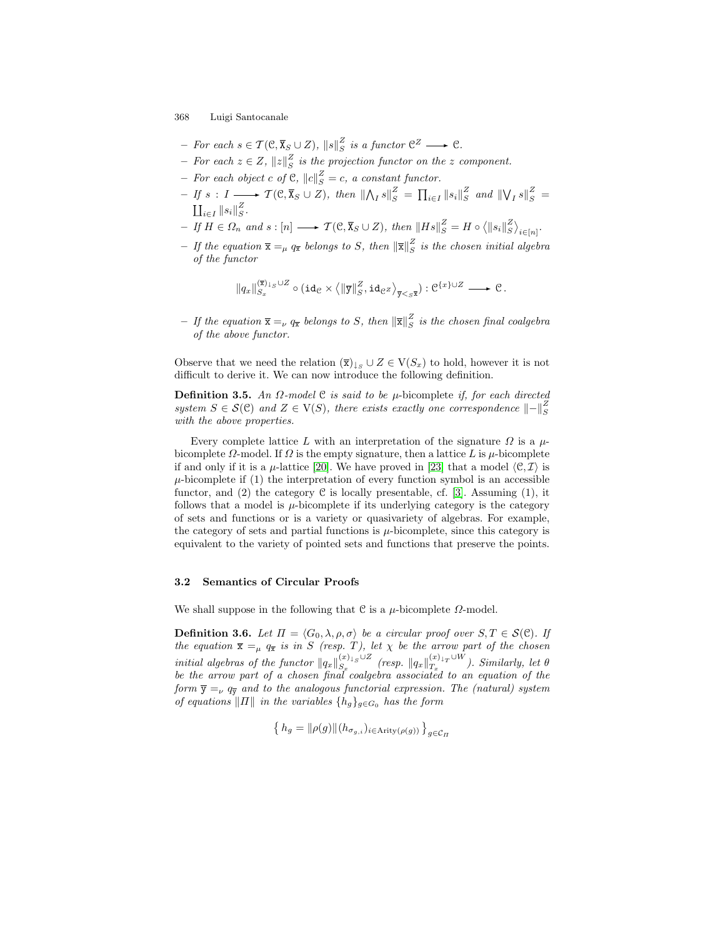- **-** For each  $s \in \mathcal{T}(\mathcal{C}, \overline{\mathbf{X}}_S \cup Z)$ ,  $||s||_S^Z$  is a functor  $\mathcal{C}^Z$  →  $\mathcal{C}$ .
- **−** For each  $z \in Z$ ,  $||z||_S^Z$  is the projection functor on the z component.
- $-$  For each object c of  $\mathcal{C}$ ,  $||c||_S^Z = c$ , a constant functor.
- $-I f s : I \longrightarrow T(\mathcal{C}, \overline{X}_S \cup Z), \text{ then } ||\Lambda_I s||_S^Z = \prod_{i \in I} ||s_i||_S^Z \text{ and } ||\nabla_I s||_S^Z =$  $\coprod_{i\in I}$   $\|s_i\|_S^Z$ .
- $-If H \in \Omega_n$  and  $s : [n] \longrightarrow \mathcal{T}(\mathcal{C}, \overline{\mathbf{X}}_S \cup Z)$ , then  $||Hs||_S^Z = H \circ \langle ||s_i||_S^Z \rangle_{i \in [n]}$ .
- $-$  If the equation  $\bar{\mathbf{x}} =_{\mu} q_{\bar{\mathbf{x}}}$  belongs to S, then  $\|\bar{\mathbf{x}}\|_{S}^{Z}$  is the chosen initial algebra of the functor

$$
\|q_x\|_{S_x}^{(\overline{x})_{\downarrow_S}\cup Z}\circ (\text{id}_{\mathcal{C}}\times \big\langle \|\overline{y}\|_S^Z, \text{id}_{\mathcal{C}^Z}\big\rangle_{\overline{y}<_{S}\overline{x}}): \mathcal{C}^{\{x\}\cup Z}\longrightarrow \mathcal{C}.
$$

*–* If the equation  $\bar{\mathbf{x}} =_{\nu} q_{\bar{\mathbf{x}}}$  belongs to S, then  $\|\bar{\mathbf{x}}\|_{S}^{Z}$  is the chosen final coalgebra of the above functor.

Observe that we need the relation  $(\overline{x})_{\downarrow S} \cup Z \in V(S_x)$  to hold, however it is not difficult to derive it. We can now introduce the following definition.

**Definition 3.5.** An  $\Omega$ -model  $\mathfrak{C}$  is said to be  $\mu$ -bicomplete if, for each directed system  $S \in \mathcal{S}(\mathcal{C})$  and  $Z \in V(S)$ , there exists exactly one correspondence  $\Vert - \Vert_{S}^{Z}$ with the above properties.

Every complete lattice L with an interpretation of the signature  $\Omega$  is a  $\mu$ bicomplete  $\Omega$ -model. If  $\Omega$  is the empty signature, then a lattice L is  $\mu$ -bicomplete if and only if it is a  $\mu$ -lattice [\[20\]](#page-14-0). We have proved in [\[23\]](#page-14-0) that a model  $\langle \mathcal{C}, \mathcal{I} \rangle$  is  $\mu$ -bicomplete if (1) the interpretation of every function symbol is an accessible functor, and  $(2)$  the category C is locally presentable, cf. [\[3\]](#page-13-0). Assuming (1), it follows that a model is  $\mu$ -bicomplete if its underlying category is the category of sets and functions or is a variety or quasivariety of algebras. For example, the category of sets and partial functions is  $\mu$ -bicomplete, since this category is equivalent to the variety of pointed sets and functions that preserve the points.

## **3.2 Semantics of Circular Proofs**

We shall suppose in the following that  $\mathfrak C$  is a  $\mu$ -bicomplete  $\Omega$ -model.

**Definition 3.6.** Let  $\Pi = \langle G_0, \lambda, \rho, \sigma \rangle$  be a circular proof over  $S, T \in \mathcal{S}(\mathcal{C})$ . If the equation  $\bar{x} =_{\mu} q_{\bar{x}}$  is in S (resp. T), let  $\chi$  be the arrow part of the chosen initial algebras of the functor  $||q_x||_{S_x}^{(x)_{\perp_S} \cup Z}$  (resp.  $||q_x||_{T_x}^{(x)_{\perp_T} \cup W}$ ). Similarly, let  $\theta$ be the arrow part of a chosen final coalgebra associated to an equation of the form  $\bar{y} = \varphi_{y} q_{\bar{y}}$  and to the analogous functorial expression. The (natural) system of equations  $||\Pi||$  in the variables  $\{h_g\}_{g\in G_0}$  has the form

$$
\left\{ h_g = \|\rho(g)\| (h_{\sigma_{g,i}})_{i \in \text{Arity}(\rho(g))} \right\}_{g \in \mathcal{C}_H}
$$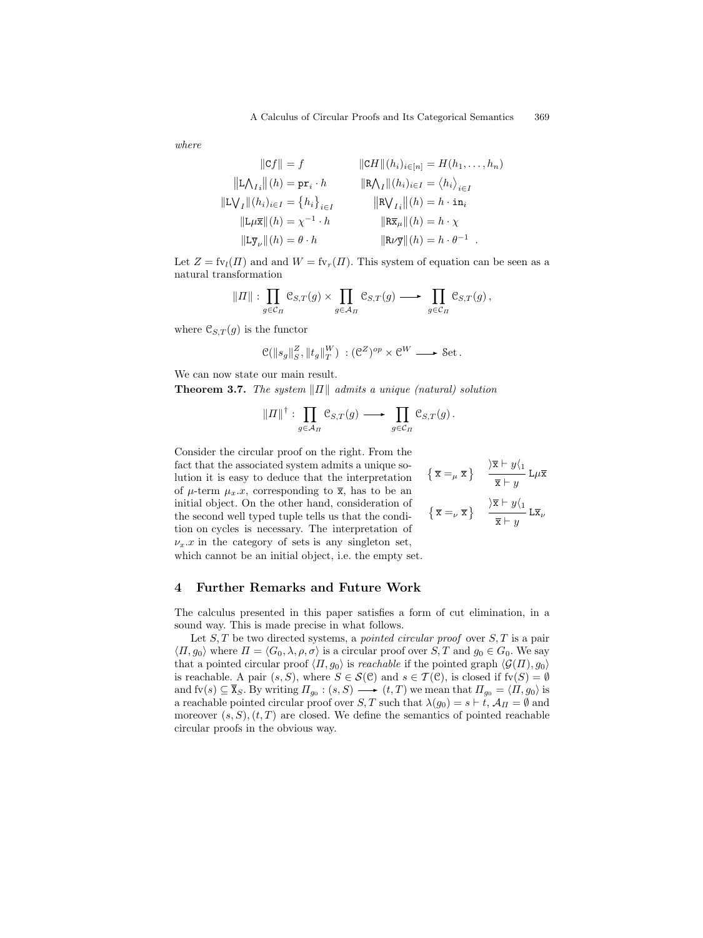<span id="page-12-0"></span>where

$$
||Cf|| = f \t ||CH||(h_i)_{i \in [n]} = H(h_1, ..., h_n)
$$
  
\n
$$
||L \Lambda_{I_i}||(h) = \operatorname{pr}_i \cdot h \t ||R \Lambda_I||(h_i)_{i \in I} = \langle h_i \rangle_{i \in I}
$$
  
\n
$$
||L \nabla_I||(h_i)_{i \in I} = \{h_i\}_{i \in I} \t ||R \nabla_{I_i}||(h) = h \cdot \operatorname{in}_i
$$
  
\n
$$
||L \mu \overline{x}||(h) = \chi^{-1} \cdot h \t ||R \overline{x}_\mu||(h) = h \cdot \chi
$$
  
\n
$$
||L \overline{y}_\nu||(h) = \theta \cdot h \t ||R \nu \overline{y}||(h) = h \cdot \theta^{-1}.
$$

Let  $Z = \text{fv}_l(\Pi)$  and and  $W = \text{fv}_r(\Pi)$ . This system of equation can be seen as a natural transformation

$$
||\Pi|| : \prod_{g \in C_{\Pi}} \mathcal{C}_{S,T}(g) \times \prod_{g \in \mathcal{A}_{\Pi}} \mathcal{C}_{S,T}(g) \longrightarrow \prod_{g \in C_{\Pi}} \mathcal{C}_{S,T}(g),
$$

where  $\mathfrak{C}_{S,T}(g)$  is the functor

$$
\mathcal{C}(\|s_g\|_S^Z, \|t_g\|_T^W) : (\mathcal{C}^Z)^{op} \times \mathcal{C}^W \longrightarrow \text{Set}.
$$

We can now state our main result.

**Theorem 3.7.** The system  $\| \Pi \|$  admits a unique (natural) solution

$$
||\Pi||^{\dagger} : \prod_{g \in \mathcal{A}_{\Pi}} \mathcal{C}_{S,T}(g) \longrightarrow \prod_{g \in \mathcal{C}_{\Pi}} \mathcal{C}_{S,T}(g).
$$

Consider the circular proof on the right. From the fact that the associated system admits a unique solution it is easy to deduce that the interpretation of  $\mu$ -term  $\mu_x.x$ , corresponding to  $\bar{x}$ , has to be an initial object. On the other hand, consideration of the second well typed tuple tells us that the condition on cycles is necessary. The interpretation of  $\nu_x \cdot x$  in the category of sets is any singleton set, which cannot be an initial object, i.e. the empty set.

$$
\begin{aligned}\n\left\{\overline{\mathbf{x}} =_{\mu} \overline{\mathbf{x}}\right\} & \frac{\overline{\overline{\mathbf{x}}} + y\langle_{1} \rangle}{\overline{\mathbf{x}} + y} \mathbf{L} \mu \overline{\mathbf{x}} \\
\left\{\overline{\mathbf{x}} =_{\nu} \overline{\mathbf{x}}\right\} & \frac{\overline{\overline{\mathbf{x}}} + y\langle_{1} \rangle}{\overline{\mathbf{x}} + y} \mathbf{L} \overline{\mathbf{x}} \nu\n\end{aligned}
$$

## **4 Further Remarks and Future Work**

The calculus presented in this paper satisfies a form of cut elimination, in a sound way. This is made precise in what follows.

Let  $S, T$  be two directed systems, a *pointed circular proof* over  $S, T$  is a pair  $\langle \Pi, g_0 \rangle$  where  $\Pi = \langle G_0, \lambda, \rho, \sigma \rangle$  is a circular proof over  $S, T$  and  $g_0 \in G_0$ . We say that a pointed circular proof  $\langle \Pi, g_0 \rangle$  is *reachable* if the pointed graph  $\langle \mathcal{G}(\Pi), g_0 \rangle$ is reachable. A pair  $(s, S)$ , where  $S \in \mathcal{S}(\mathcal{C})$  and  $s \in \mathcal{T}(\mathcal{C})$ , is closed if  $fv(S) = \emptyset$ and  $f(v(s) \subseteq \overline{X}_S$ . By writing  $\Pi_{g_0} : (s, S) \longrightarrow (t, T)$  we mean that  $\Pi_{g_0} = \langle \Pi, g_0 \rangle$  is a reachable pointed circular proof over S, T such that  $\lambda(g_0) = s \vdash t$ ,  $\mathcal{A}_{\Pi} = \emptyset$  and moreover  $(s, S), (t, T)$  are closed. We define the semantics of pointed reachable circular proofs in the obvious way.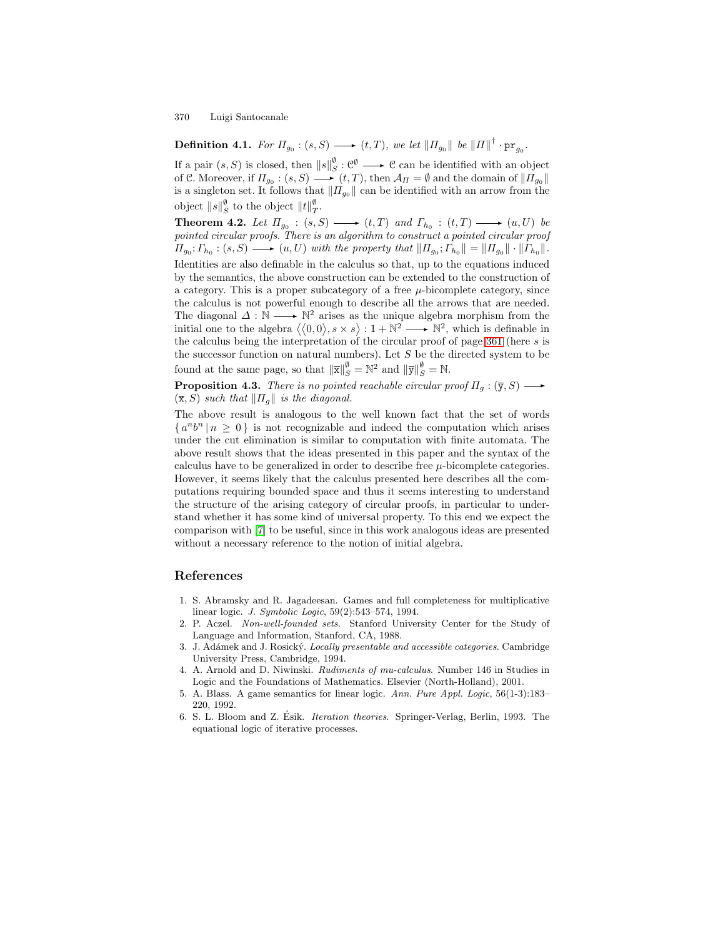<span id="page-13-0"></span>**Definition 4.1.** For  $\Pi_{g_0}$  :  $(s, S) \longrightarrow (t, T)$ , we let  $\|\Pi_{g_0}\|$  be  $\|H\|$ <sup>†</sup> ·  ${\rm pr}_{g_0}$ .

If a pair  $(s, S)$  is closed, then  $||s||_S^{\emptyset} : \mathcal{C}^{\emptyset} \longrightarrow \mathcal{C}$  can be identified with an object of C. Moreover, if  $\Pi_{g_0}$ :  $(s, S) \longrightarrow (t, T)$ , then  $\mathcal{A}_{\Pi} = \emptyset$  and the domain of  $||\Pi_{g_0}||$ is a singleton set. It follows that  $\| \varPi_{g_0} \|$  can be identified with an arrow from the object  $||s||_S^{\emptyset}$  to the object  $||t||_T^{\emptyset}$ .

**Theorem 4.2.** Let  $\Pi_{g_0} : (s, S) \longrightarrow (t, T)$  and  $\Gamma_{h_0} : (t, T) \longrightarrow (u, U)$  be pointed circular proofs. There is an algorithm to construct a pointed circular proof  $\Pi_{g_0}$ ;  $\Gamma_{h_0}$  :  $(s, S) \longrightarrow (u, U)$  with the property that  $||\Pi_{g_0}$ ;  $\Gamma_{h_0}|| = ||\Pi_{g_0}|| \cdot ||\Gamma_{h_0}||$ . Identities are also definable in the calculus so that, up to the equations induced by the semantics, the above construction can be extended to the construction of a category. This is a proper subcategory of a free  $\mu$ -bicomplete category, since the calculus is not powerful enough to describe all the arrows that are needed. The diagonal  $\Delta : \mathbb{N} \longrightarrow \mathbb{N}^2$  arises as the unique algebra morphism from the initial one to the algebra  $\langle\langle 0,0\rangle, s \times s\rangle : 1 + \mathbb{N}^2 \longrightarrow \mathbb{N}^2$ , which is definable in the calculus being the interpretation of the circular proof of page [361](#page-4-0) (here s is the successor function on natural numbers). Let  $S$  be the directed system to be found at the same page, so that  $\|\overline{\mathbf{x}}\|_{S}^{\emptyset} = \mathbb{N}^{2}$  and  $\|\overline{\mathbf{y}}\|_{S}^{\emptyset} = \mathbb{N}$ .

**Proposition 4.3.** There is no pointed reachable circular proof  $\Pi_q : (\overline{y}, S) \longrightarrow$  $(\overline{x}, S)$  such that  $\|\Pi_g\|$  is the diagonal.

The above result is analogous to the well known fact that the set of words  $\{a^n b^n | n \geq 0\}$  is not recognizable and indeed the computation which arises under the cut elimination is similar to computation with finite automata. The above result shows that the ideas presented in this paper and the syntax of the calculus have to be generalized in order to describe free  $\mu$ -bicomplete categories. However, it seems likely that the calculus presented here describes all the computations requiring bounded space and thus it seems interesting to understand the structure of the arising category of circular proofs, in particular to understand whether it has some kind of universal property. To this end we expect the comparison with [\[7\]](#page-14-0) to be useful, since in this work analogous ideas are presented without a necessary reference to the notion of initial algebra.

## **References**

- 1. S.Abramsky and R.Jagadeesan. Games and full completeness for multiplicative linear logic. J. Symbolic Logic, 59(2):543–574, 1994.
- 2. P. Aczel. Non-well-founded sets. Stanford University Center for the Study of Language and Information, Stanford, CA, 1988.
- 3. J. Adámek and J. Rosický. Locally presentable and accessible categories. Cambridge University Press, Cambridge, 1994.
- 4. A. Arnold and D. Niwinski. Rudiments of mu-calculus. Number 146 in Studies in Logic and the Foundations of Mathematics.Elsevier (North-Holland), 2001.
- 5.A.Blass.A game semantics for linear logic. Ann. Pure Appl. Logic, 56(1-3):183– 220, 1992.
- 6. S. L. Bloom and Z. Ésik. *Iteration theories*. Springer-Verlag, Berlin, 1993. The equational logic of iterative processes.